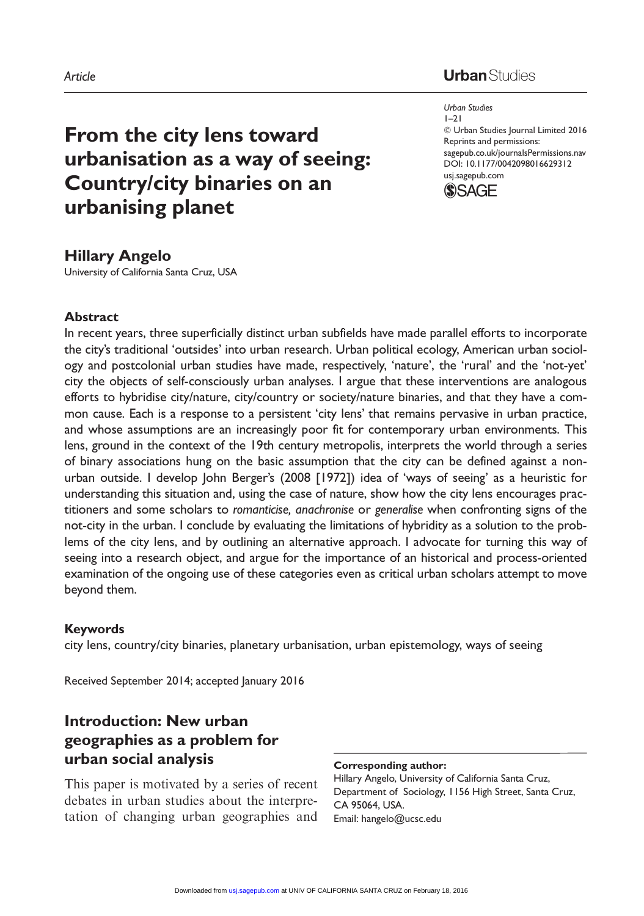## **Urban** Studies

Urban Studies  $1 - 21$ - Urban Studies Journal Limited 2016 Reprints and permissions: sagepub.co.uk/journalsPermissions.nav DOI: 10.1177/0042098016629312 usj.sagepub.com



# Hillary Angelo

University of California Santa Cruz, USA

urbanising planet

From the city lens toward

Country/city binaries on an

urbanisation as a way of seeing:

#### Abstract

In recent years, three superficially distinct urban subfields have made parallel efforts to incorporate the city's traditional 'outsides' into urban research. Urban political ecology, American urban sociology and postcolonial urban studies have made, respectively, 'nature', the 'rural' and the 'not-yet' city the objects of self-consciously urban analyses. I argue that these interventions are analogous efforts to hybridise city/nature, city/country or society/nature binaries, and that they have a common cause. Each is a response to a persistent 'city lens' that remains pervasive in urban practice, and whose assumptions are an increasingly poor fit for contemporary urban environments. This lens, ground in the context of the 19th century metropolis, interprets the world through a series of binary associations hung on the basic assumption that the city can be defined against a nonurban outside. I develop John Berger's (2008 [1972]) idea of 'ways of seeing' as a heuristic for understanding this situation and, using the case of nature, show how the city lens encourages practitioners and some scholars to romanticise, anachronise or generalise when confronting signs of the not-city in the urban. I conclude by evaluating the limitations of hybridity as a solution to the problems of the city lens, and by outlining an alternative approach. I advocate for turning this way of seeing into a research object, and argue for the importance of an historical and process-oriented examination of the ongoing use of these categories even as critical urban scholars attempt to move beyond them.

#### Keywords

city lens, country/city binaries, planetary urbanisation, urban epistemology, ways of seeing

Received September 2014; accepted January 2016

## Introduction: New urban geographies as a problem for urban social analysis

This paper is motivated by a series of recent debates in urban studies about the interpretation of changing urban geographies and

#### Corresponding author:

Hillary Angelo, University of California Santa Cruz, Department of Sociology, 1156 High Street, Santa Cruz, CA 95064, USA. Email: hangelo@ucsc.edu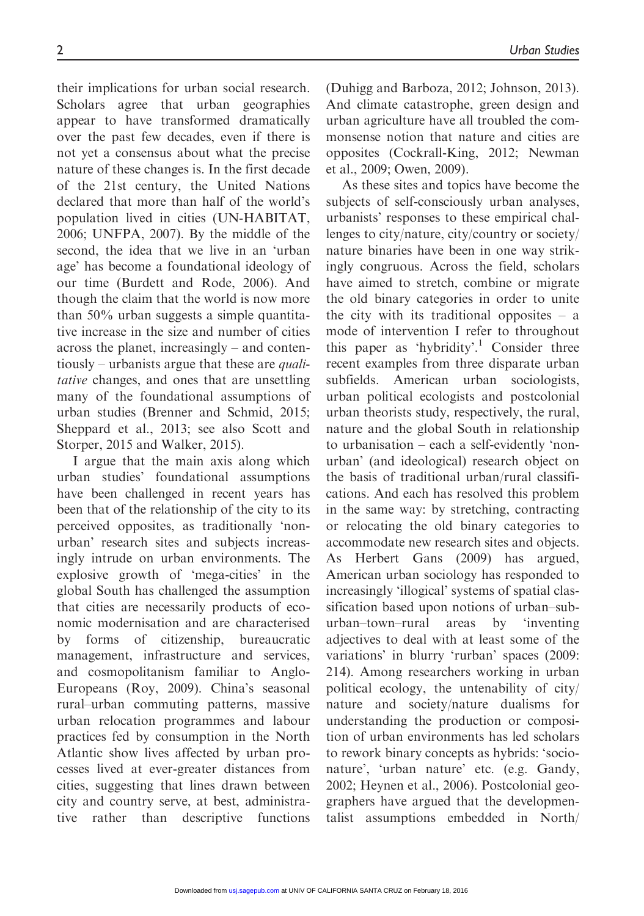their implications for urban social research. Scholars agree that urban geographies appear to have transformed dramatically over the past few decades, even if there is not yet a consensus about what the precise nature of these changes is. In the first decade of the 21st century, the United Nations declared that more than half of the world's population lived in cities (UN-HABITAT, 2006; UNFPA, 2007). By the middle of the second, the idea that we live in an 'urban age' has become a foundational ideology of our time (Burdett and Rode, 2006). And though the claim that the world is now more than 50% urban suggests a simple quantitative increase in the size and number of cities across the planet, increasingly – and contentiously – urbanists argue that these are *quali*tative changes, and ones that are unsettling many of the foundational assumptions of urban studies (Brenner and Schmid, 2015; Sheppard et al., 2013; see also Scott and Storper, 2015 and Walker, 2015).

I argue that the main axis along which urban studies' foundational assumptions have been challenged in recent years has been that of the relationship of the city to its perceived opposites, as traditionally 'nonurban' research sites and subjects increasingly intrude on urban environments. The explosive growth of 'mega-cities' in the global South has challenged the assumption that cities are necessarily products of economic modernisation and are characterised by forms of citizenship, bureaucratic management, infrastructure and services, and cosmopolitanism familiar to Anglo-Europeans (Roy, 2009). China's seasonal rural–urban commuting patterns, massive urban relocation programmes and labour practices fed by consumption in the North Atlantic show lives affected by urban processes lived at ever-greater distances from cities, suggesting that lines drawn between city and country serve, at best, administrative rather than descriptive functions

(Duhigg and Barboza, 2012; Johnson, 2013). And climate catastrophe, green design and urban agriculture have all troubled the commonsense notion that nature and cities are opposites (Cockrall-King, 2012; Newman et al., 2009; Owen, 2009).

As these sites and topics have become the subjects of self-consciously urban analyses, urbanists' responses to these empirical challenges to city/nature, city/country or society/ nature binaries have been in one way strikingly congruous. Across the field, scholars have aimed to stretch, combine or migrate the old binary categories in order to unite the city with its traditional opposites  $-$  a mode of intervention I refer to throughout this paper as 'hybridity'.<sup>1</sup> Consider three recent examples from three disparate urban subfields. American urban sociologists, urban political ecologists and postcolonial urban theorists study, respectively, the rural, nature and the global South in relationship to urbanisation – each a self-evidently 'nonurban' (and ideological) research object on the basis of traditional urban/rural classifications. And each has resolved this problem in the same way: by stretching, contracting or relocating the old binary categories to accommodate new research sites and objects. As Herbert Gans (2009) has argued, American urban sociology has responded to increasingly 'illogical' systems of spatial classification based upon notions of urban–suburban–town–rural areas by 'inventing adjectives to deal with at least some of the variations' in blurry 'rurban' spaces (2009: 214). Among researchers working in urban political ecology, the untenability of city/ nature and society/nature dualisms for understanding the production or composition of urban environments has led scholars to rework binary concepts as hybrids: 'socionature', 'urban nature' etc. (e.g. Gandy, 2002; Heynen et al., 2006). Postcolonial geographers have argued that the developmentalist assumptions embedded in North/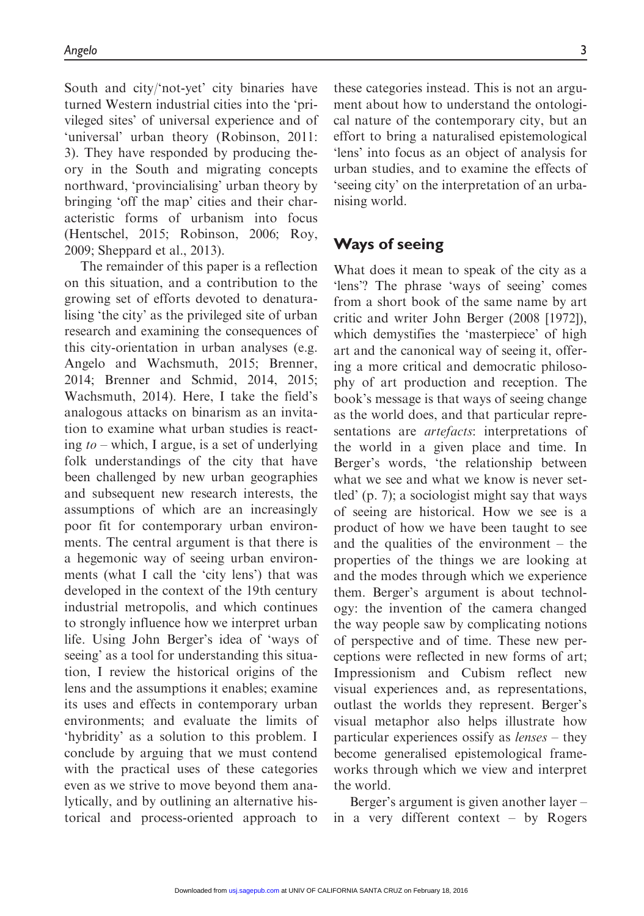South and city/'not-yet' city binaries have turned Western industrial cities into the 'privileged sites' of universal experience and of 'universal' urban theory (Robinson, 2011: 3). They have responded by producing theory in the South and migrating concepts northward, 'provincialising' urban theory by bringing 'off the map' cities and their characteristic forms of urbanism into focus (Hentschel, 2015; Robinson, 2006; Roy, 2009; Sheppard et al., 2013).

The remainder of this paper is a reflection on this situation, and a contribution to the growing set of efforts devoted to denaturalising 'the city' as the privileged site of urban research and examining the consequences of this city-orientation in urban analyses (e.g. Angelo and Wachsmuth, 2015; Brenner, 2014; Brenner and Schmid, 2014, 2015; Wachsmuth, 2014). Here, I take the field's analogous attacks on binarism as an invitation to examine what urban studies is reacting  $to$  – which, I argue, is a set of underlying folk understandings of the city that have been challenged by new urban geographies and subsequent new research interests, the assumptions of which are an increasingly poor fit for contemporary urban environments. The central argument is that there is a hegemonic way of seeing urban environments (what I call the 'city lens') that was developed in the context of the 19th century industrial metropolis, and which continues to strongly influence how we interpret urban life. Using John Berger's idea of 'ways of seeing' as a tool for understanding this situation, I review the historical origins of the lens and the assumptions it enables; examine its uses and effects in contemporary urban environments; and evaluate the limits of 'hybridity' as a solution to this problem. I conclude by arguing that we must contend with the practical uses of these categories even as we strive to move beyond them analytically, and by outlining an alternative historical and process-oriented approach to

these categories instead. This is not an argument about how to understand the ontological nature of the contemporary city, but an effort to bring a naturalised epistemological 'lens' into focus as an object of analysis for urban studies, and to examine the effects of 'seeing city' on the interpretation of an urbanising world.

#### Ways of seeing

What does it mean to speak of the city as a 'lens'? The phrase 'ways of seeing' comes from a short book of the same name by art critic and writer John Berger (2008 [1972]), which demystifies the 'masterpiece' of high art and the canonical way of seeing it, offering a more critical and democratic philosophy of art production and reception. The book's message is that ways of seeing change as the world does, and that particular representations are *artefacts*: interpretations of the world in a given place and time. In Berger's words, 'the relationship between what we see and what we know is never settled' (p. 7); a sociologist might say that ways of seeing are historical. How we see is a product of how we have been taught to see and the qualities of the environment – the properties of the things we are looking at and the modes through which we experience them. Berger's argument is about technology: the invention of the camera changed the way people saw by complicating notions of perspective and of time. These new perceptions were reflected in new forms of art; Impressionism and Cubism reflect new visual experiences and, as representations, outlast the worlds they represent. Berger's visual metaphor also helps illustrate how particular experiences ossify as lenses – they become generalised epistemological frameworks through which we view and interpret the world.

Berger's argument is given another layer – in a very different context – by Rogers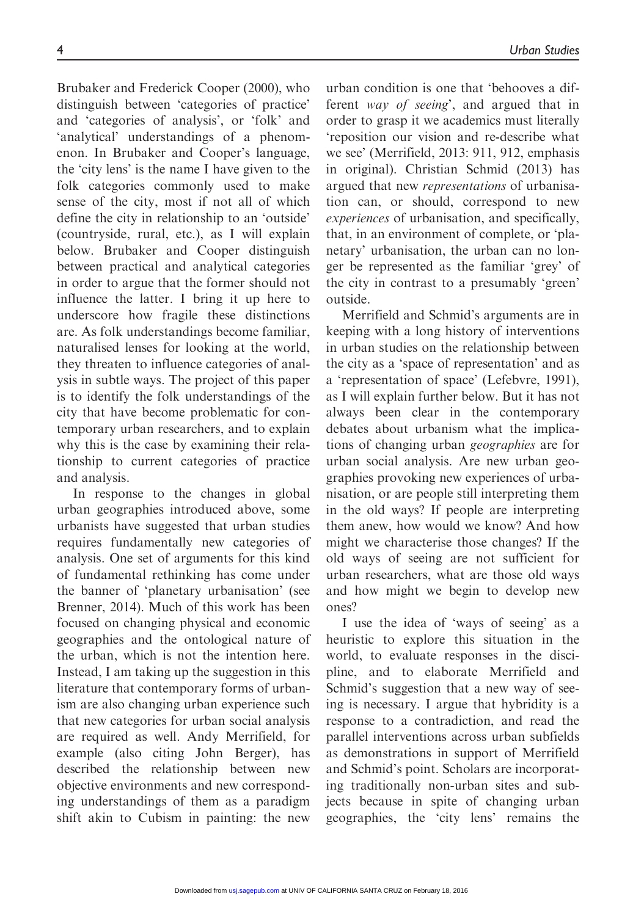Brubaker and Frederick Cooper (2000), who distinguish between 'categories of practice' and 'categories of analysis', or 'folk' and 'analytical' understandings of a phenomenon. In Brubaker and Cooper's language, the 'city lens' is the name I have given to the folk categories commonly used to make sense of the city, most if not all of which define the city in relationship to an 'outside' (countryside, rural, etc.), as I will explain below. Brubaker and Cooper distinguish between practical and analytical categories in order to argue that the former should not influence the latter. I bring it up here to underscore how fragile these distinctions are. As folk understandings become familiar, naturalised lenses for looking at the world, they threaten to influence categories of analysis in subtle ways. The project of this paper is to identify the folk understandings of the city that have become problematic for contemporary urban researchers, and to explain why this is the case by examining their relationship to current categories of practice and analysis.

In response to the changes in global urban geographies introduced above, some urbanists have suggested that urban studies requires fundamentally new categories of analysis. One set of arguments for this kind of fundamental rethinking has come under the banner of 'planetary urbanisation' (see Brenner, 2014). Much of this work has been focused on changing physical and economic geographies and the ontological nature of the urban, which is not the intention here. Instead, I am taking up the suggestion in this literature that contemporary forms of urbanism are also changing urban experience such that new categories for urban social analysis are required as well. Andy Merrifield, for example (also citing John Berger), has described the relationship between new objective environments and new corresponding understandings of them as a paradigm shift akin to Cubism in painting: the new urban condition is one that 'behooves a different way of seeing', and argued that in order to grasp it we academics must literally 'reposition our vision and re-describe what we see' (Merrifield, 2013: 911, 912, emphasis in original). Christian Schmid (2013) has argued that new representations of urbanisation can, or should, correspond to new experiences of urbanisation, and specifically, that, in an environment of complete, or 'planetary' urbanisation, the urban can no longer be represented as the familiar 'grey' of the city in contrast to a presumably 'green' outside.

Merrifield and Schmid's arguments are in keeping with a long history of interventions in urban studies on the relationship between the city as a 'space of representation' and as a 'representation of space' (Lefebvre, 1991), as I will explain further below. But it has not always been clear in the contemporary debates about urbanism what the implications of changing urban geographies are for urban social analysis. Are new urban geographies provoking new experiences of urbanisation, or are people still interpreting them in the old ways? If people are interpreting them anew, how would we know? And how might we characterise those changes? If the old ways of seeing are not sufficient for urban researchers, what are those old ways and how might we begin to develop new ones?

I use the idea of 'ways of seeing' as a heuristic to explore this situation in the world, to evaluate responses in the discipline, and to elaborate Merrifield and Schmid's suggestion that a new way of seeing is necessary. I argue that hybridity is a response to a contradiction, and read the parallel interventions across urban subfields as demonstrations in support of Merrifield and Schmid's point. Scholars are incorporating traditionally non-urban sites and subjects because in spite of changing urban geographies, the 'city lens' remains the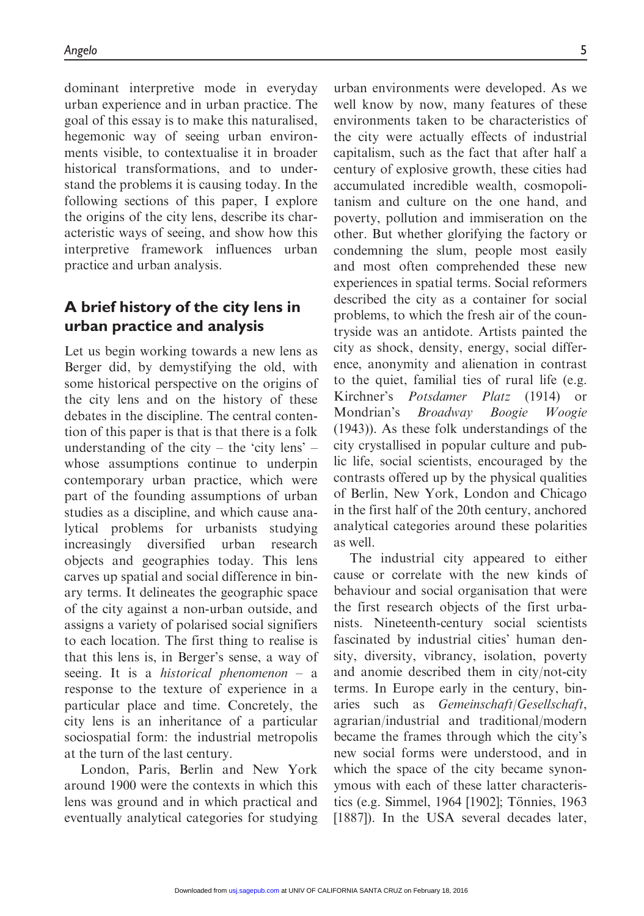dominant interpretive mode in everyday urban experience and in urban practice. The goal of this essay is to make this naturalised, hegemonic way of seeing urban environments visible, to contextualise it in broader historical transformations, and to understand the problems it is causing today. In the following sections of this paper, I explore the origins of the city lens, describe its characteristic ways of seeing, and show how this interpretive framework influences urban practice and urban analysis.

# A brief history of the city lens in urban practice and analysis

Let us begin working towards a new lens as Berger did, by demystifying the old, with some historical perspective on the origins of the city lens and on the history of these debates in the discipline. The central contention of this paper is that is that there is a folk understanding of the city – the 'city lens' – whose assumptions continue to underpin contemporary urban practice, which were part of the founding assumptions of urban studies as a discipline, and which cause analytical problems for urbanists studying increasingly diversified urban research objects and geographies today. This lens carves up spatial and social difference in binary terms. It delineates the geographic space of the city against a non-urban outside, and assigns a variety of polarised social signifiers to each location. The first thing to realise is that this lens is, in Berger's sense, a way of seeing. It is a *historical phenomenon*  $-$  a response to the texture of experience in a particular place and time. Concretely, the city lens is an inheritance of a particular sociospatial form: the industrial metropolis at the turn of the last century.

London, Paris, Berlin and New York around 1900 were the contexts in which this lens was ground and in which practical and eventually analytical categories for studying urban environments were developed. As we well know by now, many features of these environments taken to be characteristics of the city were actually effects of industrial capitalism, such as the fact that after half a century of explosive growth, these cities had accumulated incredible wealth, cosmopolitanism and culture on the one hand, and poverty, pollution and immiseration on the other. But whether glorifying the factory or condemning the slum, people most easily and most often comprehended these new experiences in spatial terms. Social reformers described the city as a container for social problems, to which the fresh air of the countryside was an antidote. Artists painted the city as shock, density, energy, social difference, anonymity and alienation in contrast to the quiet, familial ties of rural life (e.g. Kirchner's Potsdamer Platz (1914) or Mondrian's Broadway Boogie Woogie (1943)). As these folk understandings of the city crystallised in popular culture and public life, social scientists, encouraged by the contrasts offered up by the physical qualities of Berlin, New York, London and Chicago in the first half of the 20th century, anchored analytical categories around these polarities as well.

The industrial city appeared to either cause or correlate with the new kinds of behaviour and social organisation that were the first research objects of the first urbanists. Nineteenth-century social scientists fascinated by industrial cities' human density, diversity, vibrancy, isolation, poverty and anomie described them in city/not-city terms. In Europe early in the century, binaries such as Gemeinschaft/Gesellschaft, agrarian/industrial and traditional/modern became the frames through which the city's new social forms were understood, and in which the space of the city became synonymous with each of these latter characteristics (e.g. Simmel, 1964 [1902]; Tönnies, 1963 [1887]). In the USA several decades later,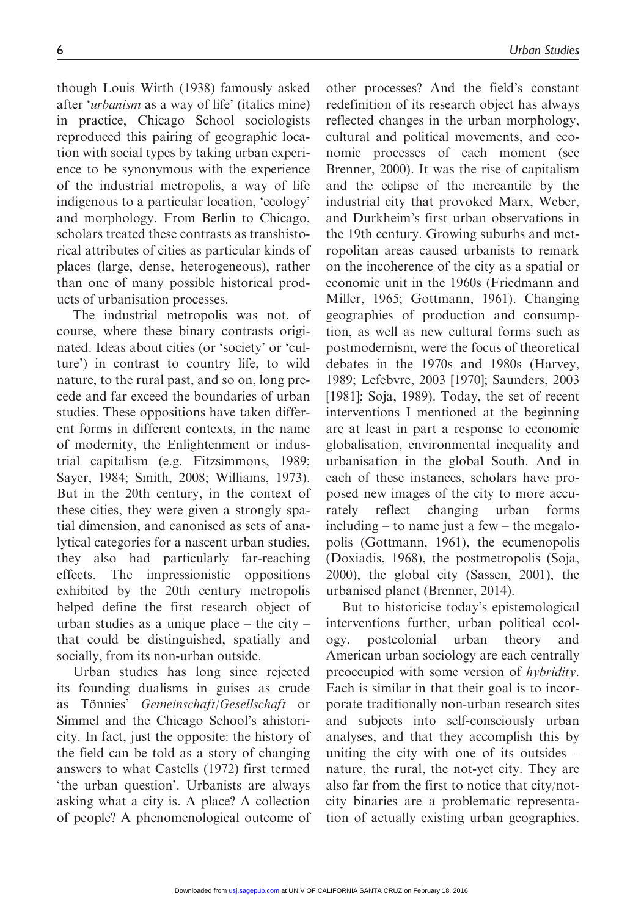though Louis Wirth (1938) famously asked after 'urbanism as a way of life' (italics mine) in practice, Chicago School sociologists reproduced this pairing of geographic location with social types by taking urban experience to be synonymous with the experience of the industrial metropolis, a way of life indigenous to a particular location, 'ecology' and morphology. From Berlin to Chicago, scholars treated these contrasts as transhistorical attributes of cities as particular kinds of places (large, dense, heterogeneous), rather than one of many possible historical products of urbanisation processes.

The industrial metropolis was not, of course, where these binary contrasts originated. Ideas about cities (or 'society' or 'culture') in contrast to country life, to wild nature, to the rural past, and so on, long precede and far exceed the boundaries of urban studies. These oppositions have taken different forms in different contexts, in the name of modernity, the Enlightenment or industrial capitalism (e.g. Fitzsimmons, 1989; Sayer, 1984; Smith, 2008; Williams, 1973). But in the 20th century, in the context of these cities, they were given a strongly spatial dimension, and canonised as sets of analytical categories for a nascent urban studies, they also had particularly far-reaching effects. The impressionistic oppositions exhibited by the 20th century metropolis helped define the first research object of urban studies as a unique place – the city – that could be distinguished, spatially and socially, from its non-urban outside.

Urban studies has long since rejected its founding dualisms in guises as crude as Tönnies' Gemeinschaft/Gesellschaft or Simmel and the Chicago School's ahistoricity. In fact, just the opposite: the history of the field can be told as a story of changing answers to what Castells (1972) first termed 'the urban question'. Urbanists are always asking what a city is. A place? A collection of people? A phenomenological outcome of other processes? And the field's constant redefinition of its research object has always reflected changes in the urban morphology, cultural and political movements, and economic processes of each moment (see Brenner, 2000). It was the rise of capitalism and the eclipse of the mercantile by the industrial city that provoked Marx, Weber, and Durkheim's first urban observations in the 19th century. Growing suburbs and metropolitan areas caused urbanists to remark on the incoherence of the city as a spatial or economic unit in the 1960s (Friedmann and Miller, 1965; Gottmann, 1961). Changing geographies of production and consumption, as well as new cultural forms such as postmodernism, were the focus of theoretical debates in the 1970s and 1980s (Harvey, 1989; Lefebvre, 2003 [1970]; Saunders, 2003 [1981]; Soja, 1989). Today, the set of recent interventions I mentioned at the beginning are at least in part a response to economic globalisation, environmental inequality and urbanisation in the global South. And in each of these instances, scholars have proposed new images of the city to more accurately reflect changing urban forms including – to name just a few – the megalopolis (Gottmann, 1961), the ecumenopolis (Doxiadis, 1968), the postmetropolis (Soja, 2000), the global city (Sassen, 2001), the urbanised planet (Brenner, 2014).

But to historicise today's epistemological interventions further, urban political ecology, postcolonial urban theory and American urban sociology are each centrally preoccupied with some version of hybridity. Each is similar in that their goal is to incorporate traditionally non-urban research sites and subjects into self-consciously urban analyses, and that they accomplish this by uniting the city with one of its outsides – nature, the rural, the not-yet city. They are also far from the first to notice that city/notcity binaries are a problematic representation of actually existing urban geographies.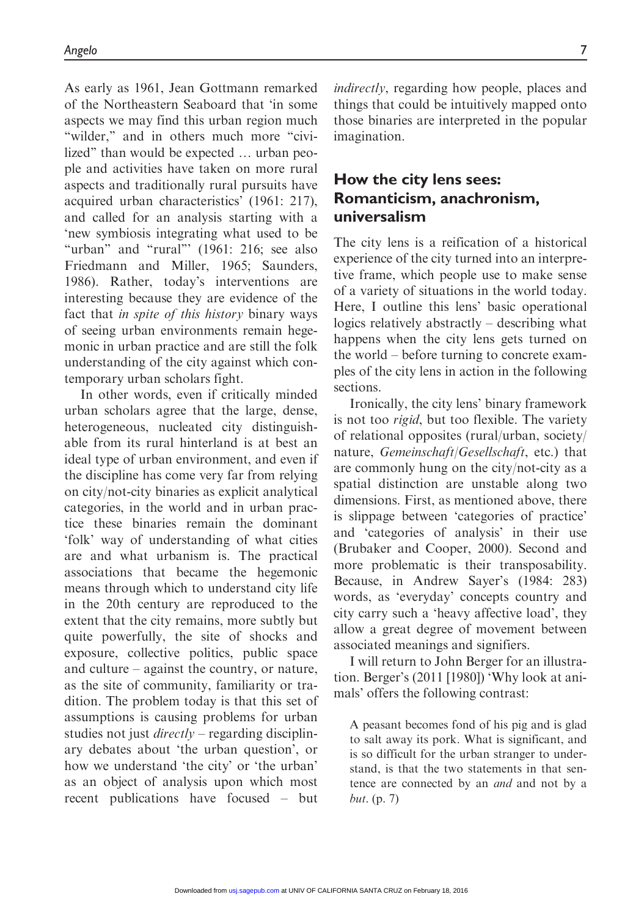As early as 1961, Jean Gottmann remarked of the Northeastern Seaboard that 'in some aspects we may find this urban region much "wilder," and in others much more "civilized" than would be expected ... urban people and activities have taken on more rural aspects and traditionally rural pursuits have acquired urban characteristics' (1961: 217), and called for an analysis starting with a 'new symbiosis integrating what used to be "urban" and "rural" (1961: 216; see also Friedmann and Miller, 1965; Saunders, 1986). Rather, today's interventions are interesting because they are evidence of the fact that in spite of this history binary ways of seeing urban environments remain hegemonic in urban practice and are still the folk understanding of the city against which contemporary urban scholars fight.

In other words, even if critically minded urban scholars agree that the large, dense, heterogeneous, nucleated city distinguishable from its rural hinterland is at best an ideal type of urban environment, and even if the discipline has come very far from relying on city/not-city binaries as explicit analytical categories, in the world and in urban practice these binaries remain the dominant 'folk' way of understanding of what cities are and what urbanism is. The practical associations that became the hegemonic means through which to understand city life in the 20th century are reproduced to the extent that the city remains, more subtly but quite powerfully, the site of shocks and exposure, collective politics, public space and culture – against the country, or nature, as the site of community, familiarity or tradition. The problem today is that this set of assumptions is causing problems for urban studies not just *directly* – regarding disciplinary debates about 'the urban question', or how we understand 'the city' or 'the urban' as an object of analysis upon which most recent publications have focused – but

indirectly, regarding how people, places and things that could be intuitively mapped onto those binaries are interpreted in the popular imagination.

## How the city lens sees: Romanticism, anachronism, universalism

The city lens is a reification of a historical experience of the city turned into an interpretive frame, which people use to make sense of a variety of situations in the world today. Here, I outline this lens' basic operational logics relatively abstractly – describing what happens when the city lens gets turned on the world – before turning to concrete examples of the city lens in action in the following sections.

Ironically, the city lens' binary framework is not too rigid, but too flexible. The variety of relational opposites (rural/urban, society/ nature, Gemeinschaft/Gesellschaft, etc.) that are commonly hung on the city/not-city as a spatial distinction are unstable along two dimensions. First, as mentioned above, there is slippage between 'categories of practice' and 'categories of analysis' in their use (Brubaker and Cooper, 2000). Second and more problematic is their transposability. Because, in Andrew Sayer's (1984: 283) words, as 'everyday' concepts country and city carry such a 'heavy affective load', they allow a great degree of movement between associated meanings and signifiers.

I will return to John Berger for an illustration. Berger's (2011 [1980]) 'Why look at animals' offers the following contrast:

A peasant becomes fond of his pig and is glad to salt away its pork. What is significant, and is so difficult for the urban stranger to understand, is that the two statements in that sentence are connected by an and and not by a but. (p. 7)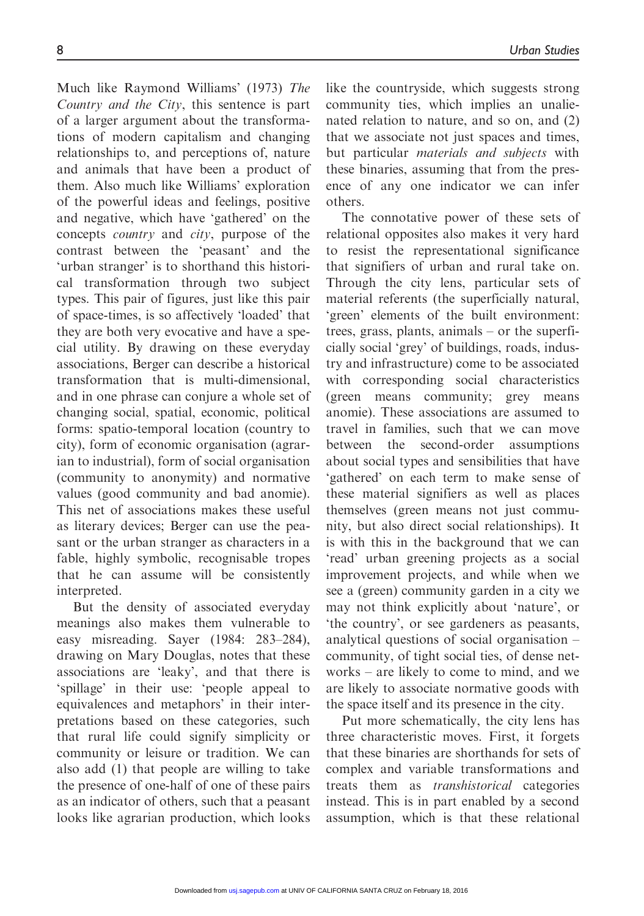Much like Raymond Williams' (1973) The Country and the City, this sentence is part of a larger argument about the transformations of modern capitalism and changing relationships to, and perceptions of, nature and animals that have been a product of them. Also much like Williams' exploration of the powerful ideas and feelings, positive and negative, which have 'gathered' on the concepts country and city, purpose of the contrast between the 'peasant' and the 'urban stranger' is to shorthand this historical transformation through two subject types. This pair of figures, just like this pair of space-times, is so affectively 'loaded' that they are both very evocative and have a special utility. By drawing on these everyday associations, Berger can describe a historical transformation that is multi-dimensional, and in one phrase can conjure a whole set of changing social, spatial, economic, political forms: spatio-temporal location (country to city), form of economic organisation (agrarian to industrial), form of social organisation (community to anonymity) and normative values (good community and bad anomie). This net of associations makes these useful as literary devices; Berger can use the peasant or the urban stranger as characters in a fable, highly symbolic, recognisable tropes that he can assume will be consistently interpreted.

But the density of associated everyday meanings also makes them vulnerable to easy misreading. Sayer (1984: 283–284), drawing on Mary Douglas, notes that these associations are 'leaky', and that there is 'spillage' in their use: 'people appeal to equivalences and metaphors' in their interpretations based on these categories, such that rural life could signify simplicity or community or leisure or tradition. We can also add (1) that people are willing to take the presence of one-half of one of these pairs as an indicator of others, such that a peasant looks like agrarian production, which looks like the countryside, which suggests strong community ties, which implies an unalienated relation to nature, and so on, and (2) that we associate not just spaces and times, but particular materials and subjects with these binaries, assuming that from the presence of any one indicator we can infer others.

The connotative power of these sets of relational opposites also makes it very hard to resist the representational significance that signifiers of urban and rural take on. Through the city lens, particular sets of material referents (the superficially natural, 'green' elements of the built environment: trees, grass, plants, animals – or the superficially social 'grey' of buildings, roads, industry and infrastructure) come to be associated with corresponding social characteristics (green means community; grey means anomie). These associations are assumed to travel in families, such that we can move between the second-order assumptions about social types and sensibilities that have 'gathered' on each term to make sense of these material signifiers as well as places themselves (green means not just community, but also direct social relationships). It is with this in the background that we can 'read' urban greening projects as a social improvement projects, and while when we see a (green) community garden in a city we may not think explicitly about 'nature', or 'the country', or see gardeners as peasants, analytical questions of social organisation – community, of tight social ties, of dense networks – are likely to come to mind, and we are likely to associate normative goods with the space itself and its presence in the city.

Put more schematically, the city lens has three characteristic moves. First, it forgets that these binaries are shorthands for sets of complex and variable transformations and treats them as transhistorical categories instead. This is in part enabled by a second assumption, which is that these relational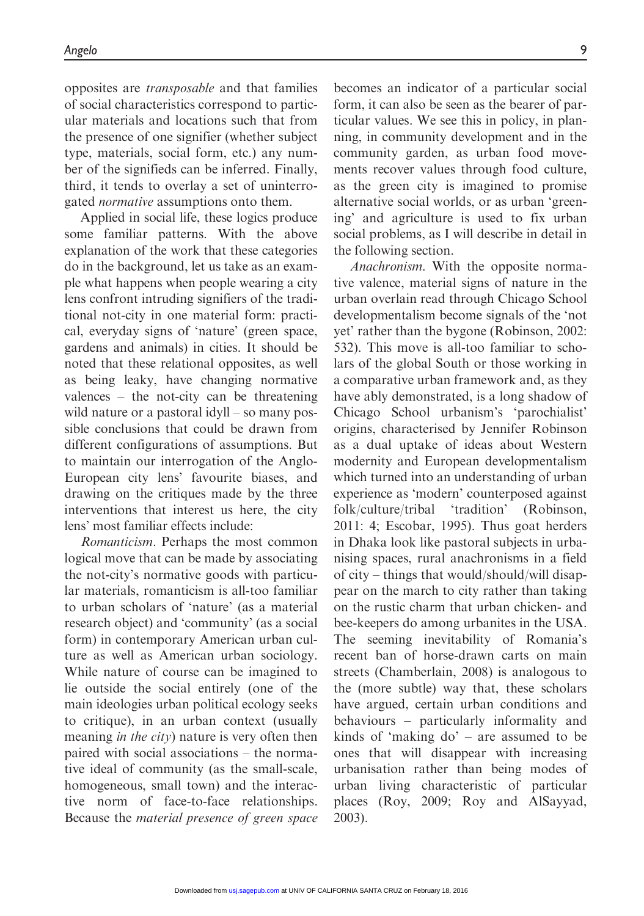opposites are transposable and that families of social characteristics correspond to particular materials and locations such that from the presence of one signifier (whether subject type, materials, social form, etc.) any number of the signifieds can be inferred. Finally, third, it tends to overlay a set of uninterrogated normative assumptions onto them.

Applied in social life, these logics produce some familiar patterns. With the above explanation of the work that these categories do in the background, let us take as an example what happens when people wearing a city lens confront intruding signifiers of the traditional not-city in one material form: practical, everyday signs of 'nature' (green space, gardens and animals) in cities. It should be noted that these relational opposites, as well as being leaky, have changing normative valences – the not-city can be threatening wild nature or a pastoral idyll – so many possible conclusions that could be drawn from different configurations of assumptions. But to maintain our interrogation of the Anglo-European city lens' favourite biases, and drawing on the critiques made by the three interventions that interest us here, the city lens' most familiar effects include:

Romanticism. Perhaps the most common logical move that can be made by associating the not-city's normative goods with particular materials, romanticism is all-too familiar to urban scholars of 'nature' (as a material research object) and 'community' (as a social form) in contemporary American urban culture as well as American urban sociology. While nature of course can be imagined to lie outside the social entirely (one of the main ideologies urban political ecology seeks to critique), in an urban context (usually meaning *in the city*) nature is very often then paired with social associations – the normative ideal of community (as the small-scale, homogeneous, small town) and the interactive norm of face-to-face relationships. Because the material presence of green space becomes an indicator of a particular social form, it can also be seen as the bearer of particular values. We see this in policy, in planning, in community development and in the community garden, as urban food movements recover values through food culture, as the green city is imagined to promise alternative social worlds, or as urban 'greening' and agriculture is used to fix urban social problems, as I will describe in detail in the following section.

Anachronism. With the opposite normative valence, material signs of nature in the urban overlain read through Chicago School developmentalism become signals of the 'not yet' rather than the bygone (Robinson, 2002: 532). This move is all-too familiar to scholars of the global South or those working in a comparative urban framework and, as they have ably demonstrated, is a long shadow of Chicago School urbanism's 'parochialist' origins, characterised by Jennifer Robinson as a dual uptake of ideas about Western modernity and European developmentalism which turned into an understanding of urban experience as 'modern' counterposed against folk/culture/tribal 'tradition' (Robinson, 2011: 4; Escobar, 1995). Thus goat herders in Dhaka look like pastoral subjects in urbanising spaces, rural anachronisms in a field of city – things that would/should/will disappear on the march to city rather than taking on the rustic charm that urban chicken- and bee-keepers do among urbanites in the USA. The seeming inevitability of Romania's recent ban of horse-drawn carts on main streets (Chamberlain, 2008) is analogous to the (more subtle) way that, these scholars have argued, certain urban conditions and behaviours – particularly informality and kinds of 'making do' – are assumed to be ones that will disappear with increasing urbanisation rather than being modes of urban living characteristic of particular places (Roy, 2009; Roy and AlSayyad, 2003).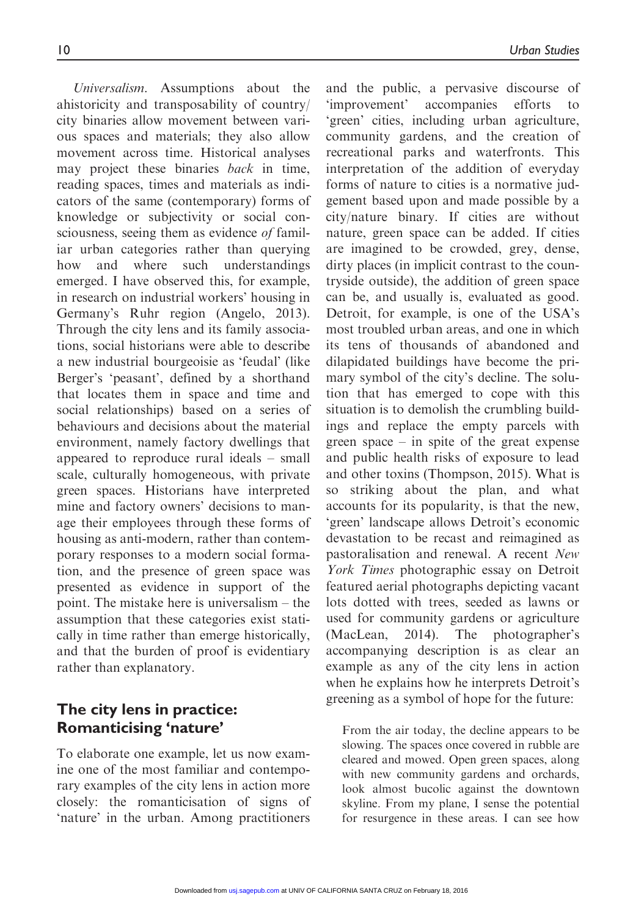Universalism. Assumptions about the ahistoricity and transposability of country/ city binaries allow movement between various spaces and materials; they also allow movement across time. Historical analyses may project these binaries back in time, reading spaces, times and materials as indicators of the same (contemporary) forms of knowledge or subjectivity or social consciousness, seeing them as evidence of familiar urban categories rather than querying how and where such understandings emerged. I have observed this, for example, in research on industrial workers' housing in Germany's Ruhr region (Angelo, 2013). Through the city lens and its family associations, social historians were able to describe a new industrial bourgeoisie as 'feudal' (like Berger's 'peasant', defined by a shorthand that locates them in space and time and social relationships) based on a series of behaviours and decisions about the material environment, namely factory dwellings that appeared to reproduce rural ideals – small scale, culturally homogeneous, with private green spaces. Historians have interpreted mine and factory owners' decisions to manage their employees through these forms of housing as anti-modern, rather than contemporary responses to a modern social formation, and the presence of green space was presented as evidence in support of the point. The mistake here is universalism – the assumption that these categories exist statically in time rather than emerge historically, and that the burden of proof is evidentiary rather than explanatory.

## The city lens in practice: Romanticising 'nature'

To elaborate one example, let us now examine one of the most familiar and contemporary examples of the city lens in action more closely: the romanticisation of signs of 'nature' in the urban. Among practitioners

and the public, a pervasive discourse of 'improvement' accompanies efforts to 'green' cities, including urban agriculture, community gardens, and the creation of recreational parks and waterfronts. This interpretation of the addition of everyday forms of nature to cities is a normative judgement based upon and made possible by a city/nature binary. If cities are without nature, green space can be added. If cities are imagined to be crowded, grey, dense, dirty places (in implicit contrast to the countryside outside), the addition of green space can be, and usually is, evaluated as good. Detroit, for example, is one of the USA's most troubled urban areas, and one in which its tens of thousands of abandoned and dilapidated buildings have become the primary symbol of the city's decline. The solution that has emerged to cope with this situation is to demolish the crumbling buildings and replace the empty parcels with green space – in spite of the great expense and public health risks of exposure to lead and other toxins (Thompson, 2015). What is so striking about the plan, and what accounts for its popularity, is that the new, 'green' landscape allows Detroit's economic devastation to be recast and reimagined as pastoralisation and renewal. A recent New York Times photographic essay on Detroit featured aerial photographs depicting vacant lots dotted with trees, seeded as lawns or used for community gardens or agriculture (MacLean, 2014). The photographer's accompanying description is as clear an example as any of the city lens in action when he explains how he interprets Detroit's greening as a symbol of hope for the future:

From the air today, the decline appears to be slowing. The spaces once covered in rubble are cleared and mowed. Open green spaces, along with new community gardens and orchards, look almost bucolic against the downtown skyline. From my plane, I sense the potential for resurgence in these areas. I can see how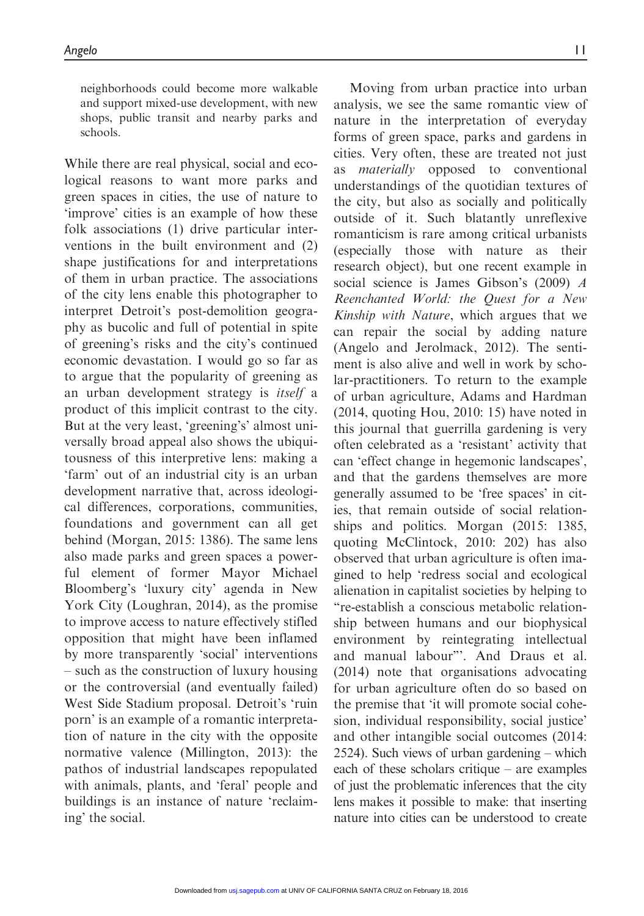neighborhoods could become more walkable and support mixed-use development, with new shops, public transit and nearby parks and schools.

While there are real physical, social and ecological reasons to want more parks and green spaces in cities, the use of nature to 'improve' cities is an example of how these folk associations (1) drive particular interventions in the built environment and (2) shape justifications for and interpretations of them in urban practice. The associations of the city lens enable this photographer to interpret Detroit's post-demolition geography as bucolic and full of potential in spite of greening's risks and the city's continued economic devastation. I would go so far as to argue that the popularity of greening as an urban development strategy is itself a product of this implicit contrast to the city. But at the very least, 'greening's' almost universally broad appeal also shows the ubiquitousness of this interpretive lens: making a 'farm' out of an industrial city is an urban development narrative that, across ideological differences, corporations, communities, foundations and government can all get behind (Morgan, 2015: 1386). The same lens also made parks and green spaces a powerful element of former Mayor Michael Bloomberg's 'luxury city' agenda in New York City (Loughran, 2014), as the promise to improve access to nature effectively stifled opposition that might have been inflamed by more transparently 'social' interventions – such as the construction of luxury housing or the controversial (and eventually failed) West Side Stadium proposal. Detroit's 'ruin porn' is an example of a romantic interpretation of nature in the city with the opposite normative valence (Millington, 2013): the pathos of industrial landscapes repopulated with animals, plants, and 'feral' people and buildings is an instance of nature 'reclaiming' the social.

Moving from urban practice into urban analysis, we see the same romantic view of nature in the interpretation of everyday forms of green space, parks and gardens in cities. Very often, these are treated not just materially opposed to conventional understandings of the quotidian textures of the city, but also as socially and politically outside of it. Such blatantly unreflexive romanticism is rare among critical urbanists (especially those with nature as their research object), but one recent example in social science is James Gibson's (2009) A Reenchanted World: the Quest for a New Kinship with Nature, which argues that we can repair the social by adding nature (Angelo and Jerolmack, 2012). The sentiment is also alive and well in work by scholar-practitioners. To return to the example of urban agriculture, Adams and Hardman (2014, quoting Hou, 2010: 15) have noted in this journal that guerrilla gardening is very often celebrated as a 'resistant' activity that can 'effect change in hegemonic landscapes', and that the gardens themselves are more generally assumed to be 'free spaces' in cities, that remain outside of social relationships and politics. Morgan (2015: 1385, quoting McClintock, 2010: 202) has also observed that urban agriculture is often imagined to help 'redress social and ecological alienation in capitalist societies by helping to ''re-establish a conscious metabolic relationship between humans and our biophysical environment by reintegrating intellectual and manual labour'''. And Draus et al. (2014) note that organisations advocating for urban agriculture often do so based on the premise that 'it will promote social cohesion, individual responsibility, social justice' and other intangible social outcomes (2014: 2524). Such views of urban gardening – which each of these scholars critique – are examples of just the problematic inferences that the city lens makes it possible to make: that inserting nature into cities can be understood to create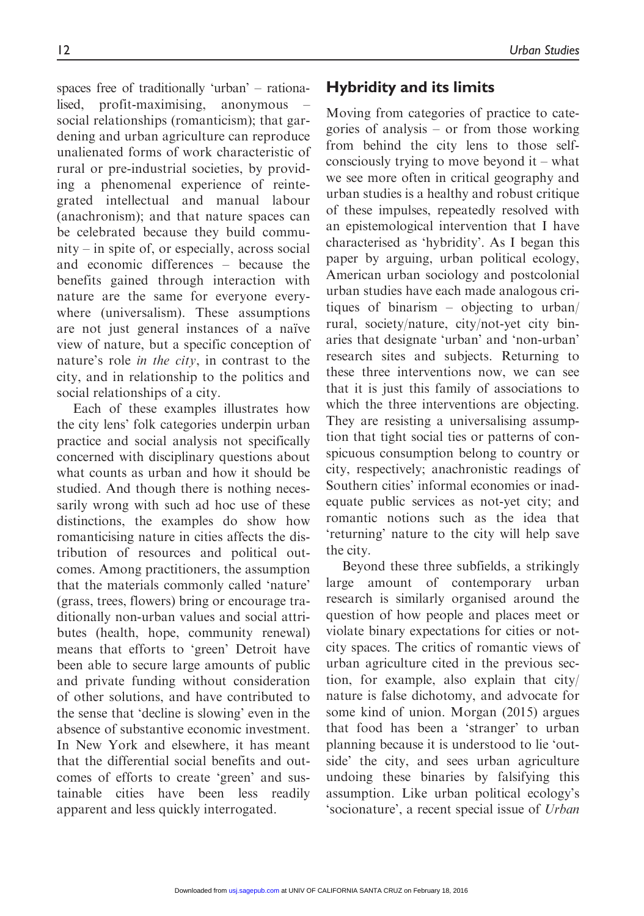spaces free of traditionally 'urban' – rationalised, profit-maximising, anonymous – social relationships (romanticism); that gardening and urban agriculture can reproduce unalienated forms of work characteristic of rural or pre-industrial societies, by providing a phenomenal experience of reintegrated intellectual and manual labour (anachronism); and that nature spaces can be celebrated because they build community – in spite of, or especially, across social and economic differences – because the benefits gained through interaction with nature are the same for everyone everywhere (universalism). These assumptions are not just general instances of a naïve view of nature, but a specific conception of nature's role in the city, in contrast to the city, and in relationship to the politics and social relationships of a city.

Each of these examples illustrates how the city lens' folk categories underpin urban practice and social analysis not specifically concerned with disciplinary questions about what counts as urban and how it should be studied. And though there is nothing necessarily wrong with such ad hoc use of these distinctions, the examples do show how romanticising nature in cities affects the distribution of resources and political outcomes. Among practitioners, the assumption that the materials commonly called 'nature' (grass, trees, flowers) bring or encourage traditionally non-urban values and social attributes (health, hope, community renewal) means that efforts to 'green' Detroit have been able to secure large amounts of public and private funding without consideration of other solutions, and have contributed to the sense that 'decline is slowing' even in the absence of substantive economic investment. In New York and elsewhere, it has meant that the differential social benefits and outcomes of efforts to create 'green' and sustainable cities have been less readily apparent and less quickly interrogated.

## Hybridity and its limits

Moving from categories of practice to categories of analysis – or from those working from behind the city lens to those selfconsciously trying to move beyond it – what we see more often in critical geography and urban studies is a healthy and robust critique of these impulses, repeatedly resolved with an epistemological intervention that I have characterised as 'hybridity'. As I began this paper by arguing, urban political ecology, American urban sociology and postcolonial urban studies have each made analogous critiques of binarism – objecting to urban/ rural, society/nature, city/not-yet city binaries that designate 'urban' and 'non-urban' research sites and subjects. Returning to these three interventions now, we can see that it is just this family of associations to which the three interventions are objecting. They are resisting a universalising assumption that tight social ties or patterns of conspicuous consumption belong to country or city, respectively; anachronistic readings of Southern cities' informal economies or inadequate public services as not-yet city; and romantic notions such as the idea that 'returning' nature to the city will help save the city.

Beyond these three subfields, a strikingly large amount of contemporary urban research is similarly organised around the question of how people and places meet or violate binary expectations for cities or notcity spaces. The critics of romantic views of urban agriculture cited in the previous section, for example, also explain that city/ nature is false dichotomy, and advocate for some kind of union. Morgan (2015) argues that food has been a 'stranger' to urban planning because it is understood to lie 'outside' the city, and sees urban agriculture undoing these binaries by falsifying this assumption. Like urban political ecology's 'socionature', a recent special issue of Urban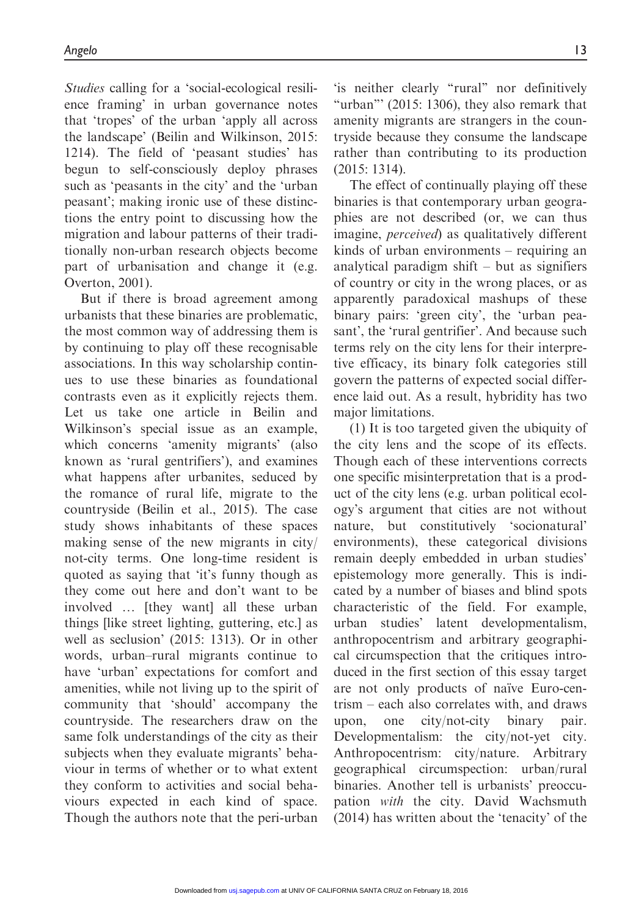Studies calling for a 'social-ecological resilience framing' in urban governance notes that 'tropes' of the urban 'apply all across the landscape' (Beilin and Wilkinson, 2015: 1214). The field of 'peasant studies' has begun to self-consciously deploy phrases such as 'peasants in the city' and the 'urban peasant'; making ironic use of these distinctions the entry point to discussing how the migration and labour patterns of their traditionally non-urban research objects become part of urbanisation and change it (e.g. Overton, 2001).

But if there is broad agreement among urbanists that these binaries are problematic, the most common way of addressing them is by continuing to play off these recognisable associations. In this way scholarship continues to use these binaries as foundational contrasts even as it explicitly rejects them. Let us take one article in Beilin and Wilkinson's special issue as an example, which concerns 'amenity migrants' (also known as 'rural gentrifiers'), and examines what happens after urbanites, seduced by the romance of rural life, migrate to the countryside (Beilin et al., 2015). The case study shows inhabitants of these spaces making sense of the new migrants in city/ not-city terms. One long-time resident is quoted as saying that 'it's funny though as they come out here and don't want to be involved ... [they want] all these urban things [like street lighting, guttering, etc.] as well as seclusion' (2015: 1313). Or in other words, urban–rural migrants continue to have 'urban' expectations for comfort and amenities, while not living up to the spirit of community that 'should' accompany the countryside. The researchers draw on the same folk understandings of the city as their subjects when they evaluate migrants' behaviour in terms of whether or to what extent they conform to activities and social behaviours expected in each kind of space. Though the authors note that the peri-urban

'is neither clearly ''rural'' nor definitively "urban"' (2015: 1306), they also remark that amenity migrants are strangers in the countryside because they consume the landscape rather than contributing to its production (2015: 1314).

The effect of continually playing off these binaries is that contemporary urban geographies are not described (or, we can thus imagine, perceived) as qualitatively different kinds of urban environments – requiring an analytical paradigm shift – but as signifiers of country or city in the wrong places, or as apparently paradoxical mashups of these binary pairs: 'green city', the 'urban peasant', the 'rural gentrifier'. And because such terms rely on the city lens for their interpretive efficacy, its binary folk categories still govern the patterns of expected social difference laid out. As a result, hybridity has two major limitations.

(1) It is too targeted given the ubiquity of the city lens and the scope of its effects. Though each of these interventions corrects one specific misinterpretation that is a product of the city lens (e.g. urban political ecology's argument that cities are not without nature, but constitutively 'socionatural' environments), these categorical divisions remain deeply embedded in urban studies' epistemology more generally. This is indicated by a number of biases and blind spots characteristic of the field. For example, urban studies' latent developmentalism, anthropocentrism and arbitrary geographical circumspection that the critiques introduced in the first section of this essay target are not only products of naïve Euro-centrism – each also correlates with, and draws upon, one city/not-city binary pair. Developmentalism: the city/not-yet city. Anthropocentrism: city/nature. Arbitrary geographical circumspection: urban/rural binaries. Another tell is urbanists' preoccupation with the city. David Wachsmuth (2014) has written about the 'tenacity' of the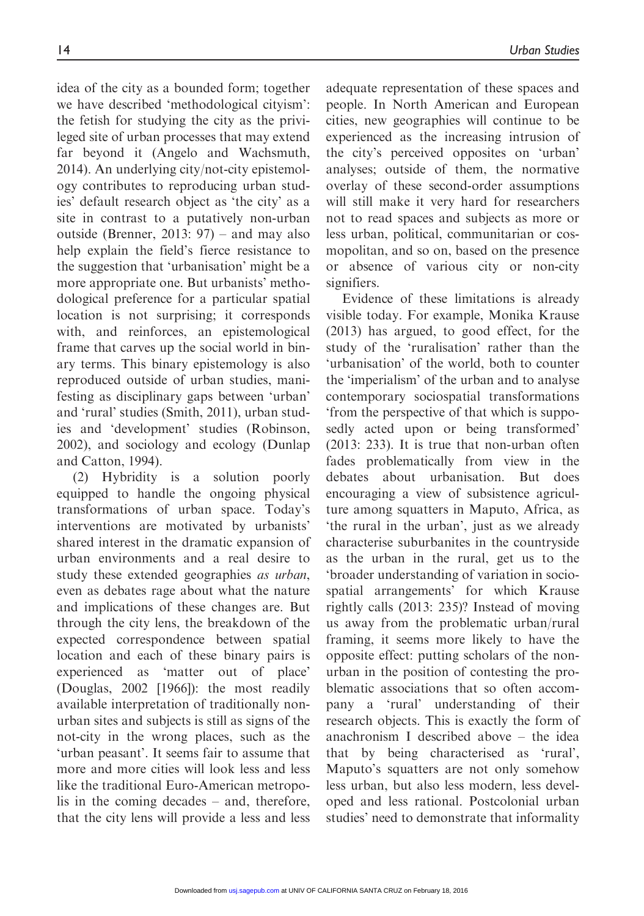idea of the city as a bounded form; together we have described 'methodological cityism': the fetish for studying the city as the privileged site of urban processes that may extend far beyond it (Angelo and Wachsmuth, 2014). An underlying city/not-city epistemology contributes to reproducing urban studies' default research object as 'the city' as a site in contrast to a putatively non-urban outside (Brenner, 2013: 97) – and may also help explain the field's fierce resistance to the suggestion that 'urbanisation' might be a more appropriate one. But urbanists' methodological preference for a particular spatial location is not surprising; it corresponds with, and reinforces, an epistemological frame that carves up the social world in binary terms. This binary epistemology is also reproduced outside of urban studies, manifesting as disciplinary gaps between 'urban' and 'rural' studies (Smith, 2011), urban studies and 'development' studies (Robinson, 2002), and sociology and ecology (Dunlap and Catton, 1994).

(2) Hybridity is a solution poorly equipped to handle the ongoing physical transformations of urban space. Today's interventions are motivated by urbanists' shared interest in the dramatic expansion of urban environments and a real desire to study these extended geographies as urban, even as debates rage about what the nature and implications of these changes are. But through the city lens, the breakdown of the expected correspondence between spatial location and each of these binary pairs is experienced as 'matter out of place' (Douglas, 2002 [1966]): the most readily available interpretation of traditionally nonurban sites and subjects is still as signs of the not-city in the wrong places, such as the 'urban peasant'. It seems fair to assume that more and more cities will look less and less like the traditional Euro-American metropolis in the coming decades – and, therefore, that the city lens will provide a less and less

adequate representation of these spaces and people. In North American and European cities, new geographies will continue to be experienced as the increasing intrusion of the city's perceived opposites on 'urban' analyses; outside of them, the normative overlay of these second-order assumptions will still make it very hard for researchers not to read spaces and subjects as more or less urban, political, communitarian or cosmopolitan, and so on, based on the presence or absence of various city or non-city signifiers.

Evidence of these limitations is already visible today. For example, Monika Krause (2013) has argued, to good effect, for the study of the 'ruralisation' rather than the 'urbanisation' of the world, both to counter the 'imperialism' of the urban and to analyse contemporary sociospatial transformations 'from the perspective of that which is supposedly acted upon or being transformed' (2013: 233). It is true that non-urban often fades problematically from view in the debates about urbanisation. But does encouraging a view of subsistence agriculture among squatters in Maputo, Africa, as 'the rural in the urban', just as we already characterise suburbanites in the countryside as the urban in the rural, get us to the 'broader understanding of variation in sociospatial arrangements' for which Krause rightly calls (2013: 235)? Instead of moving us away from the problematic urban/rural framing, it seems more likely to have the opposite effect: putting scholars of the nonurban in the position of contesting the problematic associations that so often accompany a 'rural' understanding of their research objects. This is exactly the form of anachronism I described above – the idea that by being characterised as 'rural', Maputo's squatters are not only somehow less urban, but also less modern, less developed and less rational. Postcolonial urban studies' need to demonstrate that informality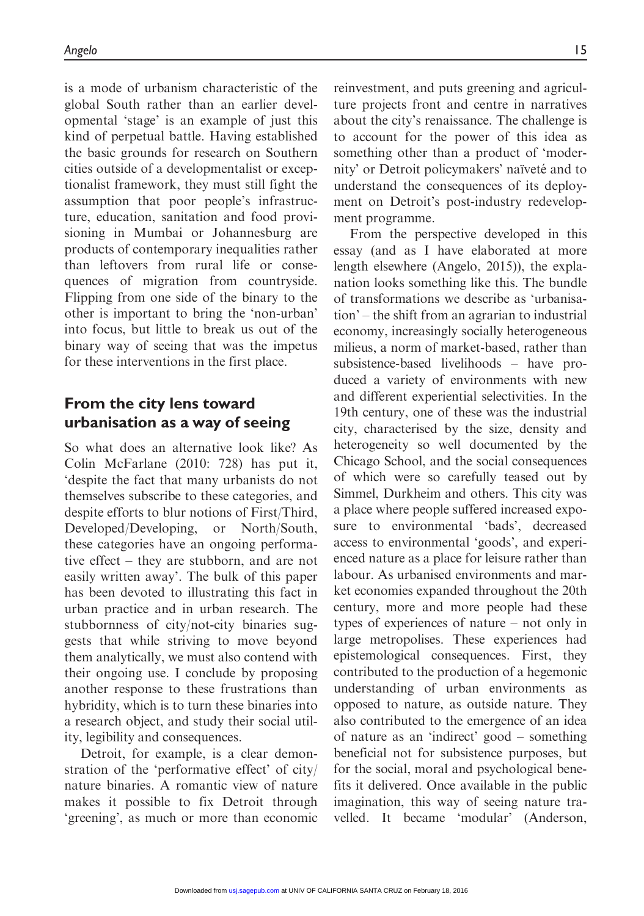is a mode of urbanism characteristic of the global South rather than an earlier developmental 'stage' is an example of just this kind of perpetual battle. Having established the basic grounds for research on Southern cities outside of a developmentalist or exceptionalist framework, they must still fight the assumption that poor people's infrastructure, education, sanitation and food provisioning in Mumbai or Johannesburg are products of contemporary inequalities rather than leftovers from rural life or consequences of migration from countryside. Flipping from one side of the binary to the other is important to bring the 'non-urban' into focus, but little to break us out of the binary way of seeing that was the impetus for these interventions in the first place.

# From the city lens toward urbanisation as a way of seeing

So what does an alternative look like? As Colin McFarlane (2010: 728) has put it, 'despite the fact that many urbanists do not themselves subscribe to these categories, and despite efforts to blur notions of First/Third, Developed/Developing, or North/South, these categories have an ongoing performative effect – they are stubborn, and are not easily written away'. The bulk of this paper has been devoted to illustrating this fact in urban practice and in urban research. The stubbornness of city/not-city binaries suggests that while striving to move beyond them analytically, we must also contend with their ongoing use. I conclude by proposing another response to these frustrations than hybridity, which is to turn these binaries into a research object, and study their social utility, legibility and consequences.

Detroit, for example, is a clear demonstration of the 'performative effect' of city/ nature binaries. A romantic view of nature makes it possible to fix Detroit through 'greening', as much or more than economic reinvestment, and puts greening and agriculture projects front and centre in narratives about the city's renaissance. The challenge is to account for the power of this idea as something other than a product of 'modernity' or Detroit policymakers' naïveté and to understand the consequences of its deployment on Detroit's post-industry redevelopment programme.

From the perspective developed in this essay (and as I have elaborated at more length elsewhere (Angelo, 2015)), the explanation looks something like this. The bundle of transformations we describe as 'urbanisation' – the shift from an agrarian to industrial economy, increasingly socially heterogeneous milieus, a norm of market-based, rather than subsistence-based livelihoods – have produced a variety of environments with new and different experiential selectivities. In the 19th century, one of these was the industrial city, characterised by the size, density and heterogeneity so well documented by the Chicago School, and the social consequences of which were so carefully teased out by Simmel, Durkheim and others. This city was a place where people suffered increased exposure to environmental 'bads', decreased access to environmental 'goods', and experienced nature as a place for leisure rather than labour. As urbanised environments and market economies expanded throughout the 20th century, more and more people had these types of experiences of nature – not only in large metropolises. These experiences had epistemological consequences. First, they contributed to the production of a hegemonic understanding of urban environments as opposed to nature, as outside nature. They also contributed to the emergence of an idea of nature as an 'indirect' good – something beneficial not for subsistence purposes, but for the social, moral and psychological benefits it delivered. Once available in the public imagination, this way of seeing nature travelled. It became 'modular' (Anderson,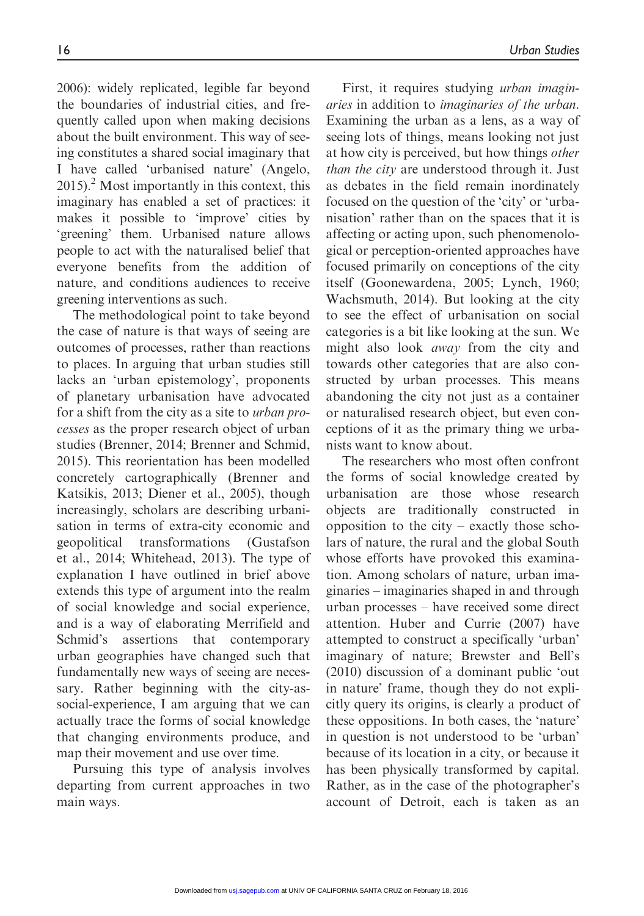2006): widely replicated, legible far beyond the boundaries of industrial cities, and frequently called upon when making decisions about the built environment. This way of seeing constitutes a shared social imaginary that I have called 'urbanised nature' (Angelo,  $2015$ .<sup>2</sup> Most importantly in this context, this imaginary has enabled a set of practices: it makes it possible to 'improve' cities by 'greening' them. Urbanised nature allows people to act with the naturalised belief that everyone benefits from the addition of nature, and conditions audiences to receive greening interventions as such.

The methodological point to take beyond the case of nature is that ways of seeing are outcomes of processes, rather than reactions to places. In arguing that urban studies still lacks an 'urban epistemology', proponents of planetary urbanisation have advocated for a shift from the city as a site to urban processes as the proper research object of urban studies (Brenner, 2014; Brenner and Schmid, 2015). This reorientation has been modelled concretely cartographically (Brenner and Katsikis, 2013; Diener et al., 2005), though increasingly, scholars are describing urbanisation in terms of extra-city economic and geopolitical transformations (Gustafson et al., 2014; Whitehead, 2013). The type of explanation I have outlined in brief above extends this type of argument into the realm of social knowledge and social experience, and is a way of elaborating Merrifield and Schmid's assertions that contemporary urban geographies have changed such that fundamentally new ways of seeing are necessary. Rather beginning with the city-associal-experience, I am arguing that we can actually trace the forms of social knowledge that changing environments produce, and map their movement and use over time.

Pursuing this type of analysis involves departing from current approaches in two main ways.

First, it requires studying *urban imagin*aries in addition to imaginaries of the urban. Examining the urban as a lens, as a way of seeing lots of things, means looking not just at how city is perceived, but how things other than the city are understood through it. Just as debates in the field remain inordinately focused on the question of the 'city' or 'urbanisation' rather than on the spaces that it is affecting or acting upon, such phenomenological or perception-oriented approaches have focused primarily on conceptions of the city itself (Goonewardena, 2005; Lynch, 1960; Wachsmuth, 2014). But looking at the city to see the effect of urbanisation on social categories is a bit like looking at the sun. We might also look away from the city and towards other categories that are also constructed by urban processes. This means abandoning the city not just as a container or naturalised research object, but even conceptions of it as the primary thing we urbanists want to know about.

The researchers who most often confront the forms of social knowledge created by urbanisation are those whose research objects are traditionally constructed in opposition to the city – exactly those scholars of nature, the rural and the global South whose efforts have provoked this examination. Among scholars of nature, urban imaginaries – imaginaries shaped in and through urban processes – have received some direct attention. Huber and Currie (2007) have attempted to construct a specifically 'urban' imaginary of nature; Brewster and Bell's (2010) discussion of a dominant public 'out in nature' frame, though they do not explicitly query its origins, is clearly a product of these oppositions. In both cases, the 'nature' in question is not understood to be 'urban' because of its location in a city, or because it has been physically transformed by capital. Rather, as in the case of the photographer's account of Detroit, each is taken as an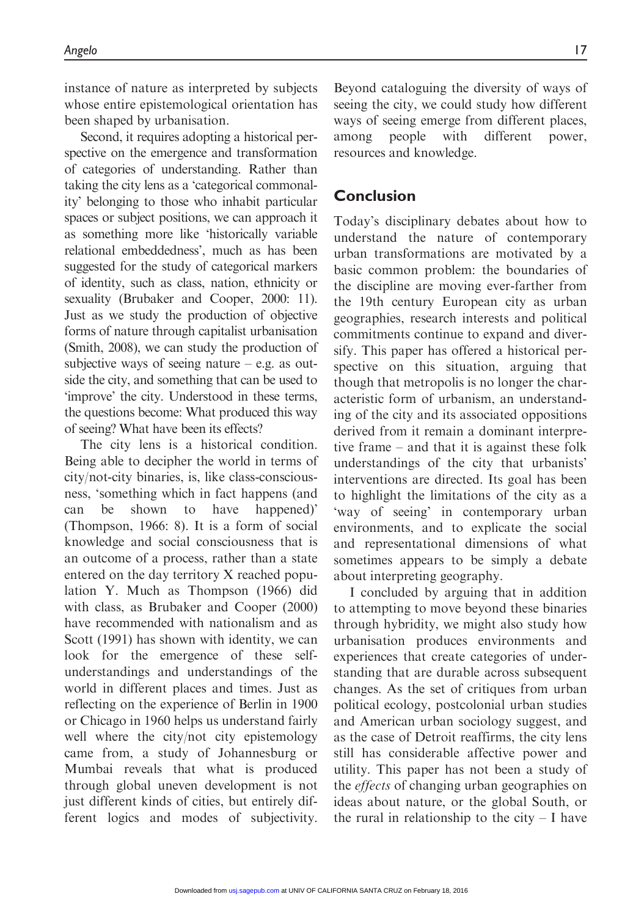instance of nature as interpreted by subjects whose entire epistemological orientation has been shaped by urbanisation.

Second, it requires adopting a historical perspective on the emergence and transformation of categories of understanding. Rather than taking the city lens as a 'categorical commonality' belonging to those who inhabit particular spaces or subject positions, we can approach it as something more like 'historically variable relational embeddedness', much as has been suggested for the study of categorical markers of identity, such as class, nation, ethnicity or sexuality (Brubaker and Cooper, 2000: 11). Just as we study the production of objective forms of nature through capitalist urbanisation (Smith, 2008), we can study the production of subjective ways of seeing nature  $-$  e.g. as outside the city, and something that can be used to 'improve' the city. Understood in these terms, the questions become: What produced this way of seeing? What have been its effects?

The city lens is a historical condition. Being able to decipher the world in terms of city/not-city binaries, is, like class-consciousness, 'something which in fact happens (and can be shown to have happened)' (Thompson, 1966: 8). It is a form of social knowledge and social consciousness that is an outcome of a process, rather than a state entered on the day territory X reached population Y. Much as Thompson (1966) did with class, as Brubaker and Cooper (2000) have recommended with nationalism and as Scott (1991) has shown with identity, we can look for the emergence of these selfunderstandings and understandings of the world in different places and times. Just as reflecting on the experience of Berlin in 1900 or Chicago in 1960 helps us understand fairly well where the city/not city epistemology came from, a study of Johannesburg or Mumbai reveals that what is produced through global uneven development is not just different kinds of cities, but entirely different logics and modes of subjectivity.

Beyond cataloguing the diversity of ways of seeing the city, we could study how different ways of seeing emerge from different places, among people with different power, resources and knowledge.

### Conclusion

Today's disciplinary debates about how to understand the nature of contemporary urban transformations are motivated by a basic common problem: the boundaries of the discipline are moving ever-farther from the 19th century European city as urban geographies, research interests and political commitments continue to expand and diversify. This paper has offered a historical perspective on this situation, arguing that though that metropolis is no longer the characteristic form of urbanism, an understanding of the city and its associated oppositions derived from it remain a dominant interpretive frame – and that it is against these folk understandings of the city that urbanists' interventions are directed. Its goal has been to highlight the limitations of the city as a 'way of seeing' in contemporary urban environments, and to explicate the social and representational dimensions of what sometimes appears to be simply a debate about interpreting geography.

I concluded by arguing that in addition to attempting to move beyond these binaries through hybridity, we might also study how urbanisation produces environments and experiences that create categories of understanding that are durable across subsequent changes. As the set of critiques from urban political ecology, postcolonial urban studies and American urban sociology suggest, and as the case of Detroit reaffirms, the city lens still has considerable affective power and utility. This paper has not been a study of the effects of changing urban geographies on ideas about nature, or the global South, or the rural in relationship to the city  $-1$  have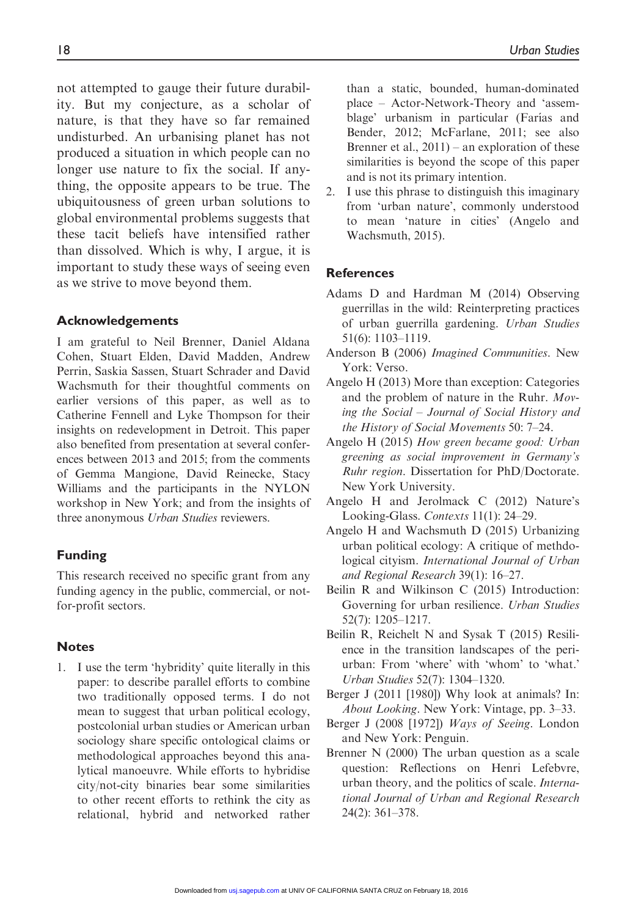not attempted to gauge their future durability. But my conjecture, as a scholar of nature, is that they have so far remained undisturbed. An urbanising planet has not produced a situation in which people can no longer use nature to fix the social. If anything, the opposite appears to be true. The ubiquitousness of green urban solutions to global environmental problems suggests that these tacit beliefs have intensified rather than dissolved. Which is why, I argue, it is important to study these ways of seeing even as we strive to move beyond them.

#### Acknowledgements

I am grateful to Neil Brenner, Daniel Aldana Cohen, Stuart Elden, David Madden, Andrew Perrin, Saskia Sassen, Stuart Schrader and David Wachsmuth for their thoughtful comments on earlier versions of this paper, as well as to Catherine Fennell and Lyke Thompson for their insights on redevelopment in Detroit. This paper also benefited from presentation at several conferences between 2013 and 2015; from the comments of Gemma Mangione, David Reinecke, Stacy Williams and the participants in the NYLON workshop in New York; and from the insights of three anonymous Urban Studies reviewers.

#### Funding

This research received no specific grant from any funding agency in the public, commercial, or notfor-profit sectors.

#### Notes

1. I use the term 'hybridity' quite literally in this paper: to describe parallel efforts to combine two traditionally opposed terms. I do not mean to suggest that urban political ecology, postcolonial urban studies or American urban sociology share specific ontological claims or methodological approaches beyond this analytical manoeuvre. While efforts to hybridise city/not-city binaries bear some similarities to other recent efforts to rethink the city as relational, hybrid and networked rather than a static, bounded, human-dominated place – Actor-Network-Theory and 'assemblage' urbanism in particular (Farías and Bender, 2012; McFarlane, 2011; see also Brenner et al., 2011) – an exploration of these similarities is beyond the scope of this paper and is not its primary intention.

2. I use this phrase to distinguish this imaginary from 'urban nature', commonly understood to mean 'nature in cities' (Angelo and Wachsmuth, 2015).

#### References

- Adams D and Hardman M (2014) Observing guerrillas in the wild: Reinterpreting practices of urban guerrilla gardening. Urban Studies 51(6): 1103–1119.
- Anderson B (2006) Imagined Communities. New York: Verso.
- Angelo H (2013) More than exception: Categories and the problem of nature in the Ruhr. Moving the Social – Journal of Social History and the History of Social Movements 50: 7–24.
- Angelo H (2015) How green became good: Urban greening as social improvement in Germany's Ruhr region. Dissertation for PhD/Doctorate. New York University.
- Angelo H and Jerolmack C (2012) Nature's Looking-Glass. Contexts 11(1): 24–29.
- Angelo H and Wachsmuth D (2015) Urbanizing urban political ecology: A critique of methdological cityism. International Journal of Urban and Regional Research 39(1): 16–27.
- Beilin R and Wilkinson C (2015) Introduction: Governing for urban resilience. Urban Studies 52(7): 1205–1217.
- Beilin R, Reichelt N and Sysak T (2015) Resilience in the transition landscapes of the periurban: From 'where' with 'whom' to 'what.' Urban Studies 52(7): 1304–1320.
- Berger J (2011 [1980]) Why look at animals? In: About Looking. New York: Vintage, pp. 3–33.
- Berger J (2008 [1972]) Ways of Seeing. London and New York: Penguin.
- Brenner N (2000) The urban question as a scale question: Reflections on Henri Lefebvre, urban theory, and the politics of scale. International Journal of Urban and Regional Research 24(2): 361–378.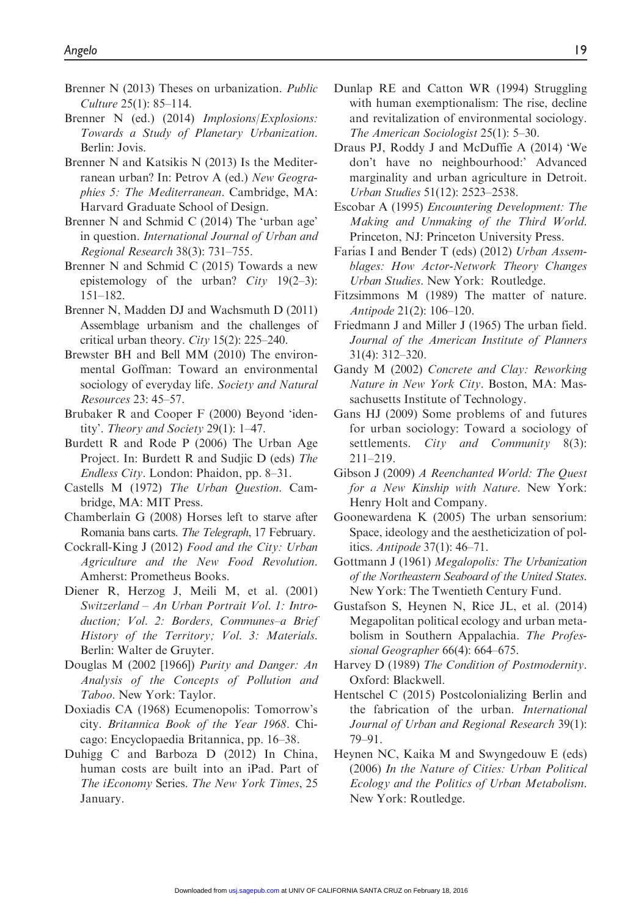- Brenner N (2013) Theses on urbanization. *Public* Culture 25(1): 85–114.
- Brenner N (ed.) (2014) *Implosions*/*Explosions*: Towards a Study of Planetary Urbanization. Berlin: Jovis.
- Brenner N and Katsikis N (2013) Is the Mediterranean urban? In: Petrov A (ed.) New Geographies 5: The Mediterranean. Cambridge, MA: Harvard Graduate School of Design.
- Brenner N and Schmid C (2014) The 'urban age' in question. International Journal of Urban and Regional Research 38(3): 731–755.
- Brenner N and Schmid C (2015) Towards a new epistemology of the urban? City 19(2–3): 151–182.
- Brenner N, Madden DJ and Wachsmuth D (2011) Assemblage urbanism and the challenges of critical urban theory. City 15(2): 225–240.
- Brewster BH and Bell MM (2010) The environmental Goffman: Toward an environmental sociology of everyday life. Society and Natural Resources 23: 45–57.
- Brubaker R and Cooper F (2000) Beyond 'identity'. Theory and Society 29(1): 1–47.
- Burdett R and Rode P (2006) The Urban Age Project. In: Burdett R and Sudjic D (eds) The Endless City. London: Phaidon, pp. 8–31.
- Castells M (1972) The Urban Question. Cambridge, MA: MIT Press.
- Chamberlain G (2008) Horses left to starve after Romania bans carts. The Telegraph, 17 February.
- Cockrall-King J (2012) Food and the City: Urban Agriculture and the New Food Revolution. Amherst: Prometheus Books.
- Diener R, Herzog J, Meili M, et al. (2001) Switzerland – An Urban Portrait Vol. 1: Introduction; Vol. 2: Borders, Communes–a Brief History of the Territory; Vol. 3: Materials. Berlin: Walter de Gruyter.
- Douglas M (2002 [1966]) Purity and Danger: An Analysis of the Concepts of Pollution and Taboo. New York: Taylor.
- Doxiadis CA (1968) Ecumenopolis: Tomorrow's city. Britannica Book of the Year 1968. Chicago: Encyclopaedia Britannica, pp. 16–38.
- Duhigg C and Barboza D (2012) In China, human costs are built into an iPad. Part of The iEconomy Series. The New York Times, 25 January.
- Dunlap RE and Catton WR (1994) Struggling with human exemptionalism: The rise, decline and revitalization of environmental sociology. The American Sociologist 25(1): 5–30.
- Draus PJ, Roddy J and McDuffie A (2014) 'We don't have no neighbourhood:' Advanced marginality and urban agriculture in Detroit. Urban Studies 51(12): 2523–2538.
- Escobar A (1995) Encountering Development: The Making and Unmaking of the Third World. Princeton, NJ: Princeton University Press.
- Farías I and Bender T (eds) (2012) Urban Assemblages: How Actor-Network Theory Changes Urban Studies. New York: Routledge.
- Fitzsimmons M (1989) The matter of nature. Antipode 21(2): 106–120.
- Friedmann J and Miller J (1965) The urban field. Journal of the American Institute of Planners 31(4): 312–320.
- Gandy M (2002) Concrete and Clay: Reworking Nature in New York City. Boston, MA: Massachusetts Institute of Technology.
- Gans HJ (2009) Some problems of and futures for urban sociology: Toward a sociology of settlements. *City and Community* 8(3): 211–219.
- Gibson J (2009) A Reenchanted World: The Quest for a New Kinship with Nature. New York: Henry Holt and Company.
- Goonewardena K (2005) The urban sensorium: Space, ideology and the aestheticization of politics. Antipode 37(1): 46–71.
- Gottmann J (1961) Megalopolis: The Urbanization of the Northeastern Seaboard of the United States. New York: The Twentieth Century Fund.
- Gustafson S, Heynen N, Rice JL, et al. (2014) Megapolitan political ecology and urban metabolism in Southern Appalachia. The Professional Geographer 66(4): 664–675.
- Harvey D (1989) The Condition of Postmodernity. Oxford: Blackwell.
- Hentschel C (2015) Postcolonializing Berlin and the fabrication of the urban. International Journal of Urban and Regional Research 39(1): 79–91.
- Heynen NC, Kaika M and Swyngedouw E (eds) (2006) In the Nature of Cities: Urban Political Ecology and the Politics of Urban Metabolism. New York: Routledge.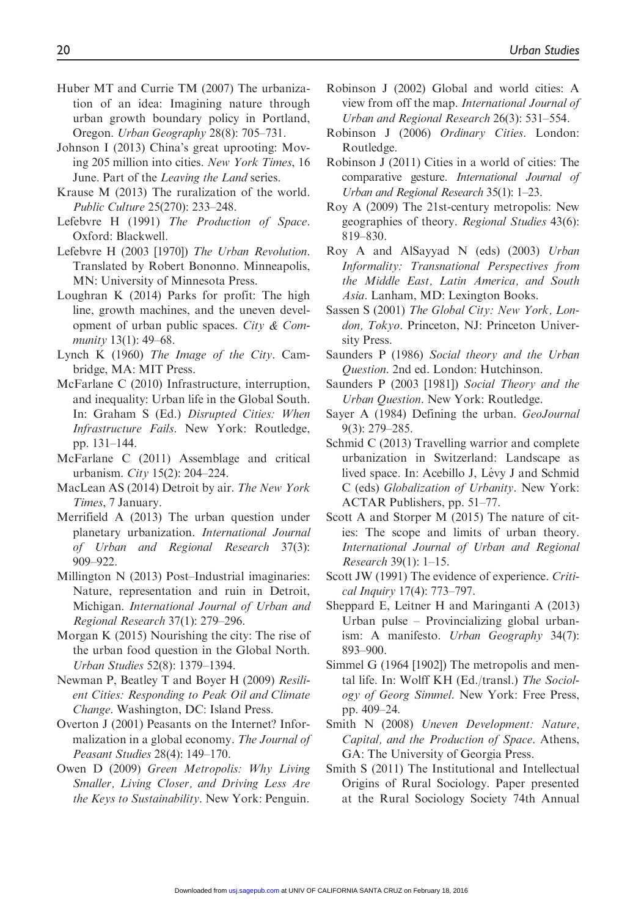- Huber MT and Currie TM (2007) The urbanization of an idea: Imagining nature through urban growth boundary policy in Portland, Oregon. Urban Geography 28(8): 705–731.
- Johnson I (2013) China's great uprooting: Moving 205 million into cities. New York Times, 16 June. Part of the *Leaving the Land* series.
- Krause M (2013) The ruralization of the world. Public Culture 25(270): 233–248.
- Lefebvre H (1991) The Production of Space. Oxford: Blackwell.
- Lefebvre H (2003 [1970]) The Urban Revolution. Translated by Robert Bononno. Minneapolis, MN: University of Minnesota Press.
- Loughran K (2014) Parks for profit: The high line, growth machines, and the uneven development of urban public spaces. City  $& Com$ munity 13(1): 49–68.
- Lynch K (1960) The Image of the City. Cambridge, MA: MIT Press.
- McFarlane C (2010) Infrastructure, interruption, and inequality: Urban life in the Global South. In: Graham S (Ed.) Disrupted Cities: When Infrastructure Fails. New York: Routledge, pp. 131–144.
- McFarlane C (2011) Assemblage and critical urbanism. City 15(2): 204–224.
- MacLean AS (2014) Detroit by air. The New York Times, 7 January.
- Merrifield A (2013) The urban question under planetary urbanization. International Journal of Urban and Regional Research 37(3): 909–922.
- Millington N (2013) Post–Industrial imaginaries: Nature, representation and ruin in Detroit, Michigan. International Journal of Urban and Regional Research 37(1): 279–296.
- Morgan K (2015) Nourishing the city: The rise of the urban food question in the Global North. Urban Studies 52(8): 1379–1394.
- Newman P, Beatley T and Boyer H (2009) Resilient Cities: Responding to Peak Oil and Climate Change. Washington, DC: Island Press.
- Overton J (2001) Peasants on the Internet? Informalization in a global economy. The Journal of Peasant Studies 28(4): 149–170.
- Owen D (2009) Green Metropolis: Why Living Smaller, Living Closer, and Driving Less Are the Keys to Sustainability. New York: Penguin.
- Robinson J (2002) Global and world cities: A view from off the map. International Journal of Urban and Regional Research 26(3): 531–554.
- Robinson J (2006) Ordinary Cities. London: Routledge.
- Robinson J (2011) Cities in a world of cities: The comparative gesture. International Journal of Urban and Regional Research 35(1): 1–23.
- Roy A (2009) The 21st-century metropolis: New geographies of theory. Regional Studies 43(6): 819–830.
- Roy A and AlSayyad N (eds) (2003) Urban Informality: Transnational Perspectives from the Middle East, Latin America, and South Asia. Lanham, MD: Lexington Books.
- Sassen S (2001) The Global City: New York, London, Tokyo. Princeton, NJ: Princeton University Press.
- Saunders P (1986) Social theory and the Urban Question. 2nd ed. London: Hutchinson.
- Saunders P (2003 [1981]) Social Theory and the Urban Question. New York: Routledge.
- Sayer A (1984) Defining the urban. GeoJournal 9(3): 279–285.
- Schmid C (2013) Travelling warrior and complete urbanization in Switzerland: Landscape as lived space. In: Acebillo J, Lévy J and Schmid C (eds) Globalization of Urbanity. New York: ACTAR Publishers, pp. 51–77.
- Scott A and Storper M (2015) The nature of cities: The scope and limits of urban theory. International Journal of Urban and Regional Research 39(1): 1–15.
- Scott JW (1991) The evidence of experience. Critical Inquiry 17(4): 773–797.
- Sheppard E, Leitner H and Maringanti A (2013) Urban pulse – Provincializing global urbanism: A manifesto. Urban Geography 34(7): 893–900.
- Simmel G (1964 [1902]) The metropolis and mental life. In: Wolff KH (Ed./transl.) The Sociology of Georg Simmel. New York: Free Press, pp. 409–24.
- Smith N (2008) Uneven Development: Nature, Capital, and the Production of Space. Athens, GA: The University of Georgia Press.
- Smith S (2011) The Institutional and Intellectual Origins of Rural Sociology. Paper presented at the Rural Sociology Society 74th Annual